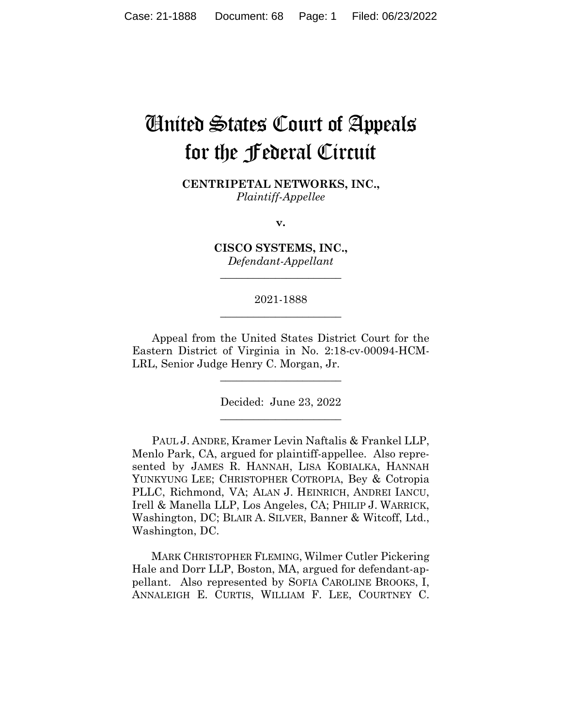# United States Court of Appeals for the Federal Circuit

**CENTRIPETAL NETWORKS, INC.,** *Plaintiff-Appellee*

**v.**

**CISCO SYSTEMS, INC.,** *Defendant-Appellant*

**\_\_\_\_\_\_\_\_\_\_\_\_\_\_\_\_\_\_\_\_\_\_** 

## 2021-1888 **\_\_\_\_\_\_\_\_\_\_\_\_\_\_\_\_\_\_\_\_\_\_**

Appeal from the United States District Court for the Eastern District of Virginia in No. 2:18-cv-00094-HCM-LRL, Senior Judge Henry C. Morgan, Jr.

> Decided: June 23, 2022  $\overline{\phantom{a}}$  , we can assume that the contract of  $\overline{\phantom{a}}$

 $\overline{\phantom{a}}$  , we can assume that the contract of  $\overline{\phantom{a}}$ 

PAUL J. ANDRE, Kramer Levin Naftalis & Frankel LLP, Menlo Park, CA, argued for plaintiff-appellee. Also represented by JAMES R. HANNAH, LISA KOBIALKA, HANNAH YUNKYUNG LEE; CHRISTOPHER COTROPIA, Bey & Cotropia PLLC, Richmond, VA; ALAN J. HEINRICH, ANDREI IANCU, Irell & Manella LLP, Los Angeles, CA; PHILIP J. WARRICK, Washington, DC; BLAIR A. SILVER, Banner & Witcoff, Ltd., Washington, DC.

 MARK CHRISTOPHER FLEMING, Wilmer Cutler Pickering Hale and Dorr LLP, Boston, MA, argued for defendant-appellant. Also represented by SOFIA CAROLINE BROOKS, I, ANNALEIGH E. CURTIS, WILLIAM F. LEE, COURTNEY C.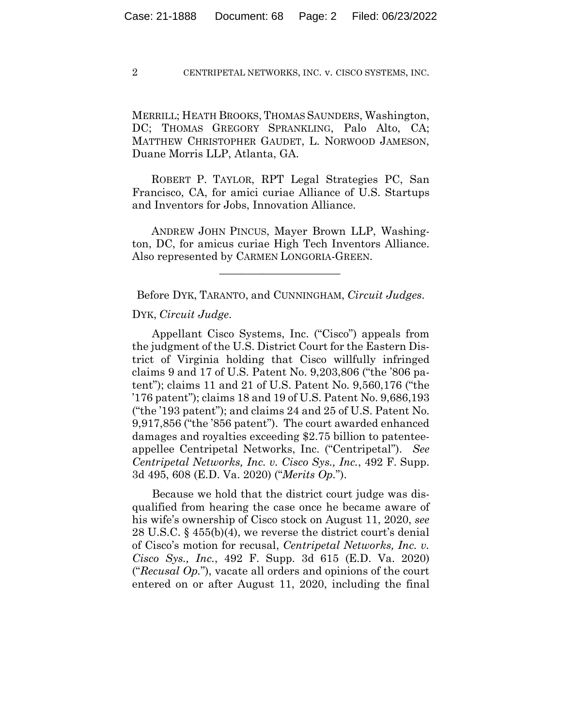MERRILL; HEATH BROOKS, THOMAS SAUNDERS, Washington, DC; THOMAS GREGORY SPRANKLING, Palo Alto, CA; MATTHEW CHRISTOPHER GAUDET, L. NORWOOD JAMESON, Duane Morris LLP, Atlanta, GA.

 ROBERT P. TAYLOR, RPT Legal Strategies PC, San Francisco, CA, for amici curiae Alliance of U.S. Startups and Inventors for Jobs, Innovation Alliance.

 ANDREW JOHN PINCUS, Mayer Brown LLP, Washington, DC, for amicus curiae High Tech Inventors Alliance. Also represented by CARMEN LONGORIA-GREEN.

Before DYK, TARANTO, and CUNNINGHAM, *Circuit Judges*.

 $\mathcal{L}_\text{max}$  and  $\mathcal{L}_\text{max}$  and  $\mathcal{L}_\text{max}$  and  $\mathcal{L}_\text{max}$ 

#### DYK, *Circuit Judge*.

Appellant Cisco Systems, Inc. ("Cisco") appeals from the judgment of the U.S. District Court for the Eastern District of Virginia holding that Cisco willfully infringed claims 9 and 17 of U.S. Patent No. 9,203,806 ("the '806 patent"); claims 11 and 21 of U.S. Patent No. 9,560,176 ("the '176 patent"); claims 18 and 19 of U.S. Patent No. 9,686,193 ("the '193 patent"); and claims 24 and 25 of U.S. Patent No. 9,917,856 ("the '856 patent"). The court awarded enhanced damages and royalties exceeding \$2.75 billion to patenteeappellee Centripetal Networks, Inc. ("Centripetal"). *See Centripetal Networks, Inc. v. Cisco Sys., Inc.*, 492 F. Supp. 3d 495, 608 (E.D. Va. 2020) ("*Merits Op.*").

Because we hold that the district court judge was disqualified from hearing the case once he became aware of his wife's ownership of Cisco stock on August 11, 2020, *see*  28 U.S.C. § 455(b)(4), we reverse the district court's denial of Cisco's motion for recusal, *Centripetal Networks, Inc. v. Cisco Sys., Inc.*, 492 F. Supp. 3d 615 (E.D. Va. 2020) ("*Recusal Op.*"), vacate all orders and opinions of the court entered on or after August 11, 2020, including the final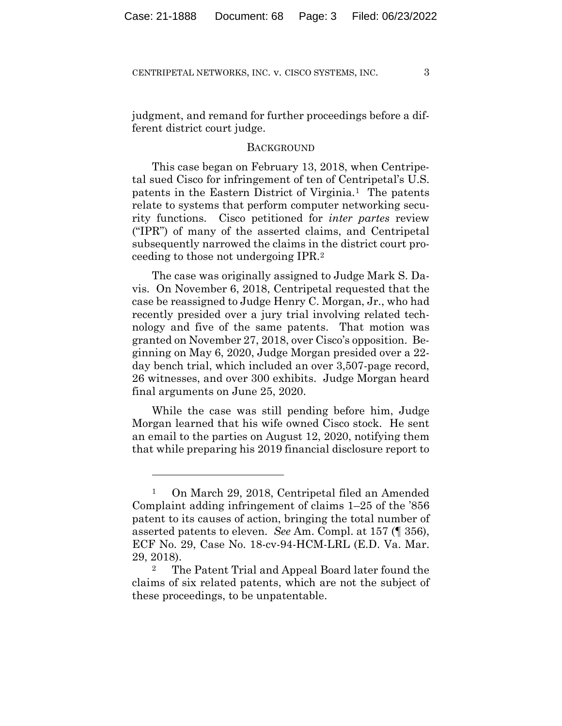judgment, and remand for further proceedings before a different district court judge.

## **BACKGROUND**

This case began on February 13, 2018, when Centripetal sued Cisco for infringement of ten of Centripetal's U.S. patents in the Eastern District of Virginia.1 The patents relate to systems that perform computer networking security functions. Cisco petitioned for *inter partes* review ("IPR") of many of the asserted claims, and Centripetal subsequently narrowed the claims in the district court proceeding to those not undergoing IPR.2

The case was originally assigned to Judge Mark S. Davis. On November 6, 2018, Centripetal requested that the case be reassigned to Judge Henry C. Morgan, Jr., who had recently presided over a jury trial involving related technology and five of the same patents. That motion was granted on November 27, 2018, over Cisco's opposition. Beginning on May 6, 2020, Judge Morgan presided over a 22 day bench trial, which included an over 3,507-page record, 26 witnesses, and over 300 exhibits. Judge Morgan heard final arguments on June 25, 2020.

While the case was still pending before him, Judge Morgan learned that his wife owned Cisco stock. He sent an email to the parties on August 12, 2020, notifying them that while preparing his 2019 financial disclosure report to

<sup>1</sup> On March 29, 2018, Centripetal filed an Amended Complaint adding infringement of claims 1–25 of the '856 patent to its causes of action, bringing the total number of asserted patents to eleven. *See* Am. Compl. at 157 (¶ 356), ECF No. 29, Case No. 18-cv-94-HCM-LRL (E.D. Va. Mar. 29, 2018).

<sup>2</sup> The Patent Trial and Appeal Board later found the claims of six related patents, which are not the subject of these proceedings, to be unpatentable.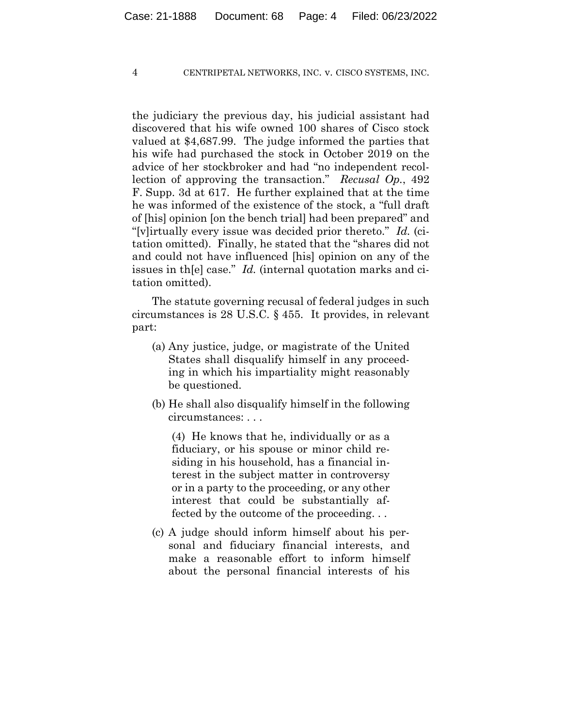the judiciary the previous day, his judicial assistant had discovered that his wife owned 100 shares of Cisco stock valued at \$4,687.99. The judge informed the parties that his wife had purchased the stock in October 2019 on the advice of her stockbroker and had "no independent recollection of approving the transaction." *Recusal Op.*, 492 F. Supp. 3d at 617.He further explained that at the time he was informed of the existence of the stock, a "full draft of [his] opinion [on the bench trial] had been prepared" and "[v]irtually every issue was decided prior thereto." *Id.* (citation omitted). Finally, he stated that the "shares did not and could not have influenced [his] opinion on any of the issues in th[e] case." *Id.* (internal quotation marks and citation omitted).

The statute governing recusal of federal judges in such circumstances is 28 U.S.C. § 455. It provides, in relevant part:

- (a) Any justice, judge, or magistrate of the United States shall disqualify himself in any proceeding in which his impartiality might reasonably be questioned.
- (b) He shall also disqualify himself in the following circumstances: . . .

(4) He knows that he, individually or as a fiduciary, or his spouse or minor child residing in his household, has a financial interest in the subject matter in controversy or in a party to the proceeding, or any other interest that could be substantially affected by the outcome of the proceeding. . .

(c) A judge should inform himself about his personal and fiduciary financial interests, and make a reasonable effort to inform himself about the personal financial interests of his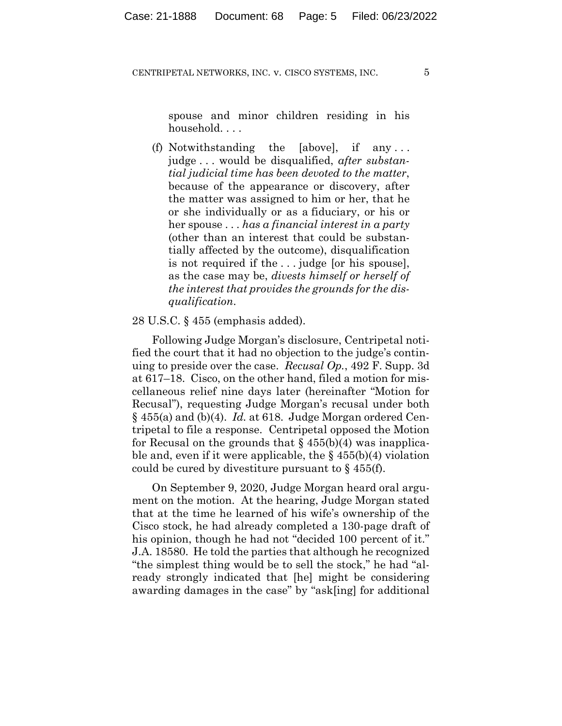spouse and minor children residing in his household. . . .

(f) Notwithstanding the [above], if any . . . judge . . . would be disqualified, *after substantial judicial time has been devoted to the matter*, because of the appearance or discovery, after the matter was assigned to him or her, that he or she individually or as a fiduciary, or his or her spouse . . . *has a financial interest in a party* (other than an interest that could be substantially affected by the outcome), disqualification is not required if the . . . judge [or his spouse], as the case may be, *divests himself or herself of the interest that provides the grounds for the disqualification*.

## 28 U.S.C. § 455 (emphasis added).

Following Judge Morgan's disclosure, Centripetal notified the court that it had no objection to the judge's continuing to preside over the case. *Recusal Op.*, 492 F. Supp. 3d at 617–18. Cisco, on the other hand, filed a motion for miscellaneous relief nine days later (hereinafter "Motion for Recusal"), requesting Judge Morgan's recusal under both § 455(a) and (b)(4). *Id.* at 618. Judge Morgan ordered Centripetal to file a response. Centripetal opposed the Motion for Recusal on the grounds that  $\S 455(b)(4)$  was inapplicable and, even if it were applicable, the  $\S$  455(b)(4) violation could be cured by divestiture pursuant to  $\S$  455(f).

On September 9, 2020, Judge Morgan heard oral argument on the motion. At the hearing, Judge Morgan stated that at the time he learned of his wife's ownership of the Cisco stock, he had already completed a 130-page draft of his opinion, though he had not "decided 100 percent of it." J.A. 18580. He told the parties that although he recognized "the simplest thing would be to sell the stock," he had "already strongly indicated that [he] might be considering awarding damages in the case" by "ask[ing] for additional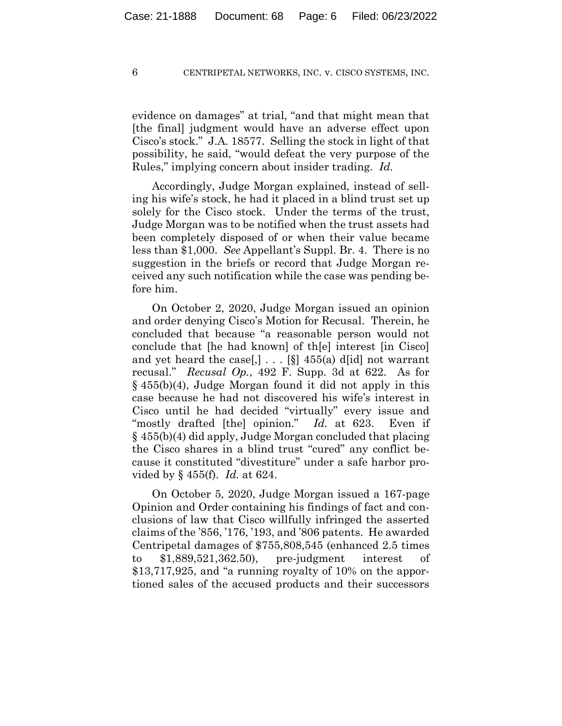evidence on damages" at trial, "and that might mean that [the final] judgment would have an adverse effect upon Cisco's stock." J.A. 18577. Selling the stock in light of that possibility, he said, "would defeat the very purpose of the Rules," implying concern about insider trading. *Id.*

Accordingly, Judge Morgan explained, instead of selling his wife's stock, he had it placed in a blind trust set up solely for the Cisco stock. Under the terms of the trust, Judge Morgan was to be notified when the trust assets had been completely disposed of or when their value became less than \$1,000. *See* Appellant's Suppl. Br. 4. There is no suggestion in the briefs or record that Judge Morgan received any such notification while the case was pending before him.

On October 2, 2020, Judge Morgan issued an opinion and order denying Cisco's Motion for Recusal. Therein, he concluded that because "a reasonable person would not conclude that [he had known] of th[e] interest [in Cisco] and yet heard the case,  $\left[ .\right]$ ...  $\left[ \S \right]$  455(a) d[id] not warrant recusal." *Recusal Op.*, 492 F. Supp. 3d at 622. As for  $§$  455(b)(4), Judge Morgan found it did not apply in this case because he had not discovered his wife's interest in Cisco until he had decided "virtually" every issue and "mostly drafted [the] opinion." *Id.* at 623. Even if § 455(b)(4) did apply, Judge Morgan concluded that placing the Cisco shares in a blind trust "cured" any conflict because it constituted "divestiture" under a safe harbor provided by § 455(f). *Id.* at 624.

On October 5, 2020, Judge Morgan issued a 167-page Opinion and Order containing his findings of fact and conclusions of law that Cisco willfully infringed the asserted claims of the '856, '176, '193, and '806 patents. He awarded Centripetal damages of \$755,808,545 (enhanced 2.5 times to \$1,889,521,362.50), pre-judgment interest of \$13,717,925, and "a running royalty of 10% on the apportioned sales of the accused products and their successors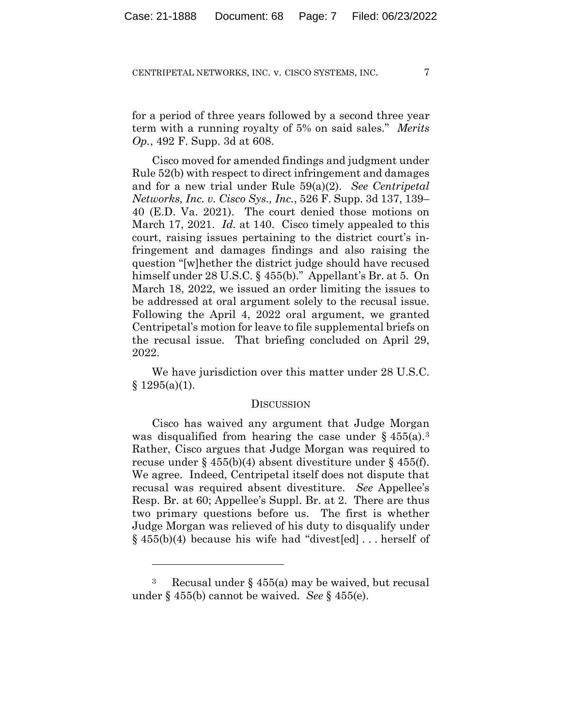for a period of three years followed by a second three year term with a running royalty of 5% on said sales." *Merits Op.*, 492 F. Supp. 3d at 608.

Cisco moved for amended findings and judgment under Rule 52(b) with respect to direct infringement and damages and for a new trial under Rule 59(a)(2). *See Centripetal Networks, Inc. v. Cisco Sys., Inc.*, 526 F. Supp. 3d 137, 139– 40 (E.D. Va. 2021). The court denied those motions on March 17, 2021. *Id.* at 140. Cisco timely appealed to this court, raising issues pertaining to the district court's infringement and damages findings and also raising the question "[w]hether the district judge should have recused himself under 28 U.S.C. § 455(b)." Appellant's Br. at 5. On March 18, 2022, we issued an order limiting the issues to be addressed at oral argument solely to the recusal issue. Following the April 4, 2022 oral argument, we granted Centripetal's motion for leave to file supplemental briefs on the recusal issue. That briefing concluded on April 29, 2022.

We have jurisdiction over this matter under 28 U.S.C.  $§ 1295(a)(1).$ 

## **DISCUSSION**

Cisco has waived any argument that Judge Morgan was disqualified from hearing the case under  $\S 455(a).$ <sup>3</sup> Rather, Cisco argues that Judge Morgan was required to recuse under § 455(b)(4) absent divestiture under § 455(f). We agree. Indeed, Centripetal itself does not dispute that recusal was required absent divestiture. *See* Appellee's Resp. Br. at 60; Appellee's Suppl. Br. at 2. There are thus two primary questions before us. The first is whether Judge Morgan was relieved of his duty to disqualify under § 455(b)(4) because his wife had "divest[ed] . . . herself of

<sup>&</sup>lt;sup>3</sup> Recusal under § 455(a) may be waived, but recusal under § 455(b) cannot be waived. *See* § 455(e).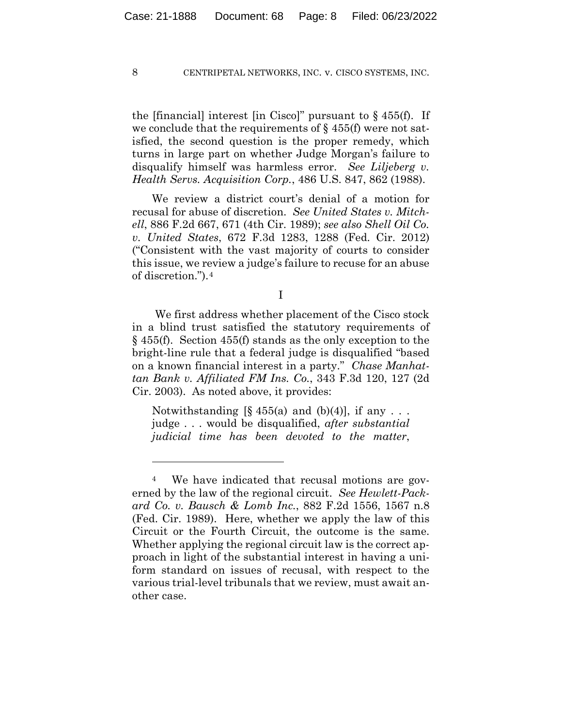the [financial] interest [in Cisco]" pursuant to  $\S$  455(f). If we conclude that the requirements of  $\S$  455(f) were not satisfied, the second question is the proper remedy, which turns in large part on whether Judge Morgan's failure to disqualify himself was harmless error. *See Liljeberg v. Health Servs. Acquisition Corp.*, 486 U.S. 847, 862 (1988).

We review a district court's denial of a motion for recusal for abuse of discretion. *See United States v. Mitchell*, 886 F.2d 667, 671 (4th Cir. 1989); *see also Shell Oil Co. v. United States*, 672 F.3d 1283, 1288 (Fed. Cir. 2012) ("Consistent with the vast majority of courts to consider this issue, we review a judge's failure to recuse for an abuse of discretion.").4

I

We first address whether placement of the Cisco stock in a blind trust satisfied the statutory requirements of § 455(f). Section 455(f) stands as the only exception to the bright-line rule that a federal judge is disqualified "based on a known financial interest in a party." *Chase Manhattan Bank v. Affiliated FM Ins. Co.*, 343 F.3d 120, 127 (2d Cir. 2003). As noted above, it provides:

Notwithstanding  $[\S 455(a)$  and  $(b)(4)]$ , if any ... judge . . . would be disqualified, *after substantial judicial time has been devoted to the matter*,

<sup>4</sup> We have indicated that recusal motions are governed by the law of the regional circuit. *See Hewlett-Packard Co. v. Bausch & Lomb Inc.*, 882 F.2d 1556, 1567 n.8 (Fed. Cir. 1989). Here, whether we apply the law of this Circuit or the Fourth Circuit, the outcome is the same. Whether applying the regional circuit law is the correct approach in light of the substantial interest in having a uniform standard on issues of recusal, with respect to the various trial-level tribunals that we review, must await another case.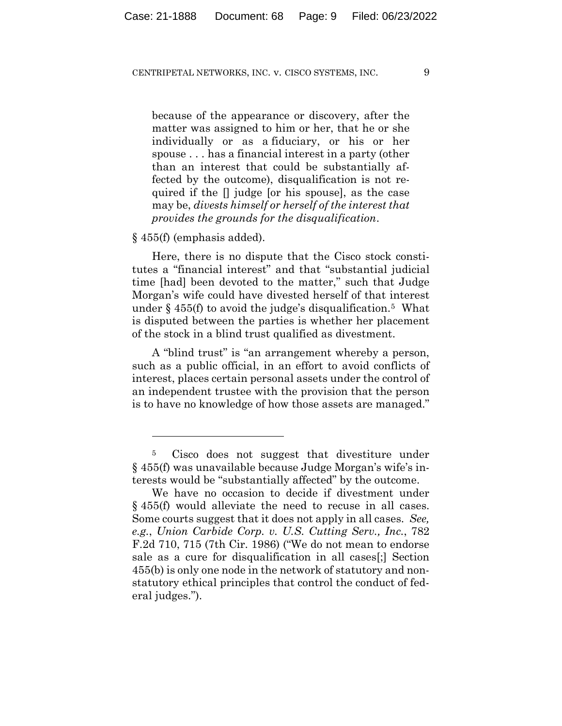because of the appearance or discovery, after the matter was assigned to him or her, that he or she individually or as a fiduciary, or his or her spouse . . . has a financial interest in a party (other than an interest that could be substantially affected by the outcome), disqualification is not required if the [] judge [or his spouse], as the case may be, *divests himself or herself of the interest that provides the grounds for the disqualification*.

### § 455(f) (emphasis added).

Here, there is no dispute that the Cisco stock constitutes a "financial interest" and that "substantial judicial time [had] been devoted to the matter," such that Judge Morgan's wife could have divested herself of that interest under  $\frac{2}{3}$  455(f) to avoid the judge's disqualification.<sup>5</sup> What is disputed between the parties is whether her placement of the stock in a blind trust qualified as divestment.

A "blind trust" is "an arrangement whereby a person, such as a public official, in an effort to avoid conflicts of interest, places certain personal assets under the control of an independent trustee with the provision that the person is to have no knowledge of how those assets are managed."

<sup>5</sup> Cisco does not suggest that divestiture under § 455(f) was unavailable because Judge Morgan's wife's interests would be "substantially affected" by the outcome.

We have no occasion to decide if divestment under § 455(f) would alleviate the need to recuse in all cases. Some courts suggest that it does not apply in all cases. *See, e.g.*, *Union Carbide Corp. v. U.S. Cutting Serv., Inc.*, 782 F.2d 710, 715 (7th Cir. 1986) ("We do not mean to endorse sale as a cure for disqualification in all cases[;] Section 455(b) is only one node in the network of statutory and nonstatutory ethical principles that control the conduct of federal judges.").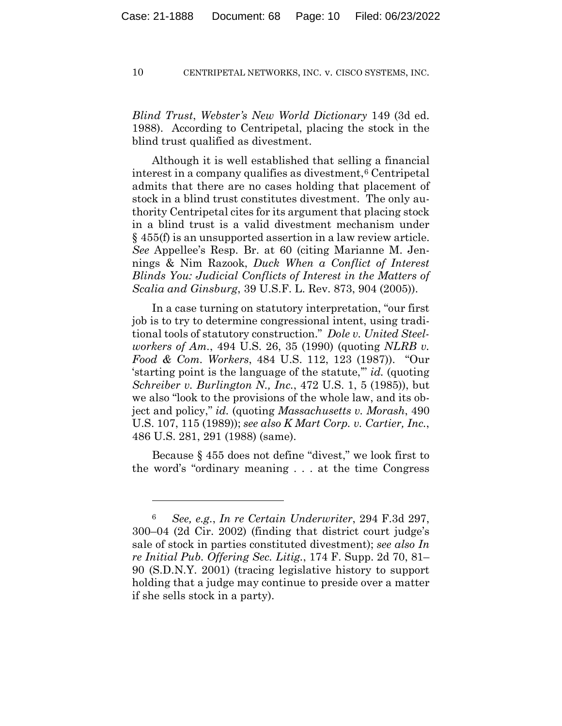*Blind Trust*, *Webster's New World Dictionary* 149 (3d ed. 1988). According to Centripetal, placing the stock in the blind trust qualified as divestment.

Although it is well established that selling a financial interest in a company qualifies as divestment,<sup>6</sup> Centripetal admits that there are no cases holding that placement of stock in a blind trust constitutes divestment. The only authority Centripetal cites for its argument that placing stock in a blind trust is a valid divestment mechanism under § 455(f) is an unsupported assertion in a law review article. *See* Appellee's Resp. Br. at 60 (citing Marianne M. Jennings & Nim Razook, *Duck When a Conflict of Interest Blinds You: Judicial Conflicts of Interest in the Matters of Scalia and Ginsburg*, 39 U.S.F. L. Rev. 873, 904 (2005)).

In a case turning on statutory interpretation, "our first job is to try to determine congressional intent, using traditional tools of statutory construction." *Dole v. United Steelworkers of Am.*, 494 U.S. 26, 35 (1990) (quoting *NLRB v. Food & Com. Workers*, 484 U.S. 112, 123 (1987)). "Our 'starting point is the language of the statute,'" *id.* (quoting *Schreiber v. Burlington N., Inc.*, 472 U.S. 1, 5 (1985)), but we also "look to the provisions of the whole law, and its object and policy," *id.* (quoting *Massachusetts v. Morash*, 490 U.S. 107, 115 (1989)); *see also K Mart Corp. v. Cartier, Inc.*, 486 U.S. 281, 291 (1988) (same).

Because § 455 does not define "divest," we look first to the word's "ordinary meaning . . . at the time Congress

<sup>6</sup> *See, e.g.*, *In re Certain Underwriter*, 294 F.3d 297, 300–04 (2d Cir. 2002) (finding that district court judge's sale of stock in parties constituted divestment); *see also In re Initial Pub. Offering Sec. Litig.*, 174 F. Supp. 2d 70, 81– 90 (S.D.N.Y. 2001) (tracing legislative history to support holding that a judge may continue to preside over a matter if she sells stock in a party).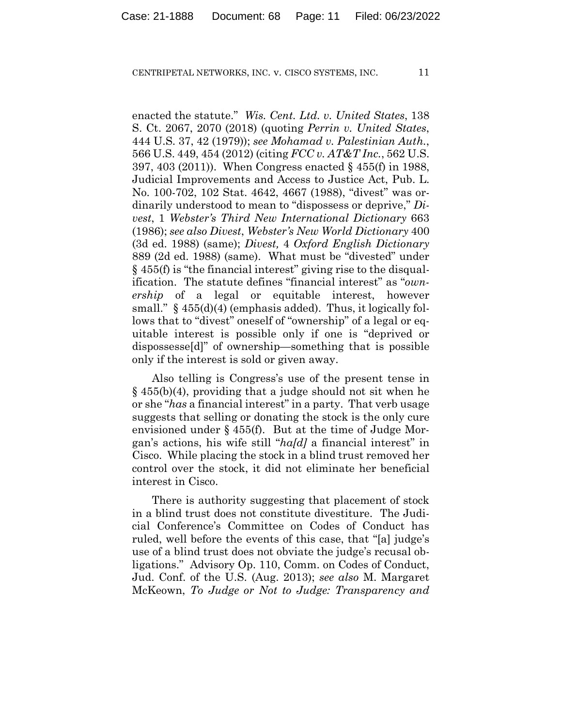enacted the statute." *Wis. Cent. Ltd. v. United States*, 138 S. Ct. 2067, 2070 (2018) (quoting *Perrin v. United States*, 444 U.S. 37, 42 (1979)); *see Mohamad v. Palestinian Auth.*, 566 U.S. 449, 454 (2012) (citing *FCC v. AT&T Inc.*, 562 U.S. 397, 403 (2011)). When Congress enacted § 455(f) in 1988, Judicial Improvements and Access to Justice Act, Pub. L. No. 100-702, 102 Stat. 4642, 4667 (1988), "divest" was ordinarily understood to mean to "dispossess or deprive," *Divest*, 1 *Webster's Third New International Dictionary* 663 (1986); *see also Divest*, *Webster's New World Dictionary* 400 (3d ed. 1988) (same); *Divest,* 4 *Oxford English Dictionary* 889 (2d ed. 1988) (same). What must be "divested" under § 455(f) is "the financial interest" giving rise to the disqualification. The statute defines "financial interest" as "*ownership* of a legal or equitable interest, however small."  $\frac{1}{2}$  455(d)(4) (emphasis added). Thus, it logically follows that to "divest" oneself of "ownership" of a legal or equitable interest is possible only if one is "deprived or dispossesse[d]" of ownership—something that is possible only if the interest is sold or given away.

Also telling is Congress's use of the present tense in § 455(b)(4), providing that a judge should not sit when he or she "*has* a financial interest" in a party. That verb usage suggests that selling or donating the stock is the only cure envisioned under § 455(f). But at the time of Judge Morgan's actions, his wife still "*ha[d]* a financial interest" in Cisco. While placing the stock in a blind trust removed her control over the stock, it did not eliminate her beneficial interest in Cisco.

There is authority suggesting that placement of stock in a blind trust does not constitute divestiture.The Judicial Conference's Committee on Codes of Conduct has ruled, well before the events of this case, that "[a] judge's use of a blind trust does not obviate the judge's recusal obligations." Advisory Op. 110, Comm. on Codes of Conduct, Jud. Conf. of the U.S. (Aug. 2013); *see also* M. Margaret McKeown, *To Judge or Not to Judge: Transparency and*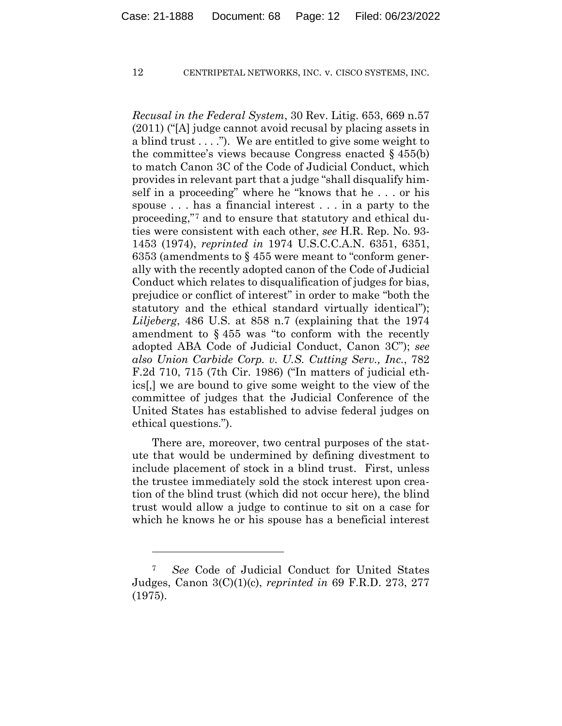*Recusal in the Federal System*, 30 Rev. Litig. 653, 669 n.57 (2011) ("[A] judge cannot avoid recusal by placing assets in a blind trust  $\dots$ ."). We are entitled to give some weight to the committee's views because Congress enacted § 455(b) to match Canon 3C of the Code of Judicial Conduct, which provides in relevant part that a judge "shall disqualify himself in a proceeding" where he "knows that he . . . or his spouse . . . has a financial interest . . . in a party to the proceeding,"7 and to ensure that statutory and ethical duties were consistent with each other, *see* H.R. Rep. No. 93- 1453 (1974), *reprinted in* 1974 U.S.C.C.A.N. 6351, 6351, 6353 (amendments to § 455 were meant to "conform generally with the recently adopted canon of the Code of Judicial Conduct which relates to disqualification of judges for bias, prejudice or conflict of interest" in order to make "both the statutory and the ethical standard virtually identical"); *Liljeberg*, 486 U.S. at 858 n.7 (explaining that the 1974 amendment to § 455 was "to conform with the recently adopted ABA Code of Judicial Conduct, Canon 3C"); *see also Union Carbide Corp. v. U.S. Cutting Serv., Inc.*, 782 F.2d 710, 715 (7th Cir. 1986) ("In matters of judicial ethics[,] we are bound to give some weight to the view of the committee of judges that the Judicial Conference of the United States has established to advise federal judges on ethical questions.").

There are, moreover, two central purposes of the statute that would be undermined by defining divestment to include placement of stock in a blind trust. First, unless the trustee immediately sold the stock interest upon creation of the blind trust (which did not occur here), the blind trust would allow a judge to continue to sit on a case for which he knows he or his spouse has a beneficial interest

<sup>7</sup> *See* Code of Judicial Conduct for United States Judges, Canon 3(C)(1)(c), *reprinted in* 69 F.R.D. 273, 277 (1975).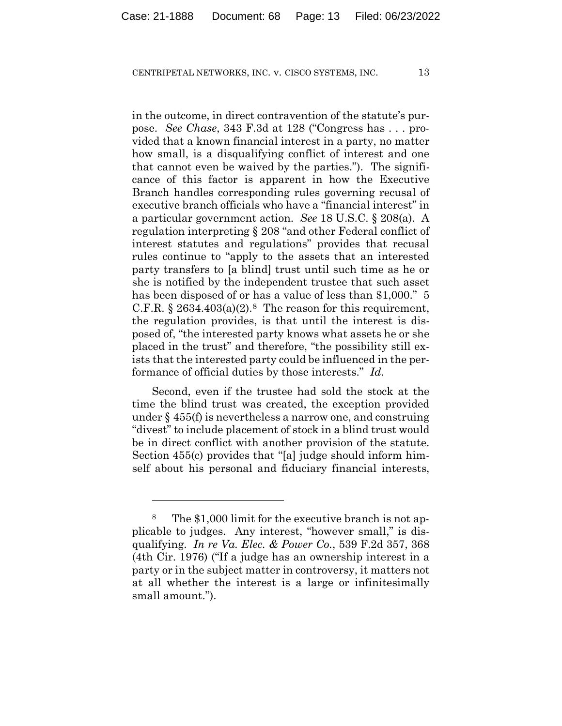in the outcome, in direct contravention of the statute's purpose. *See Chase*, 343 F.3d at 128 ("Congress has . . . provided that a known financial interest in a party, no matter how small, is a disqualifying conflict of interest and one that cannot even be waived by the parties."). The significance of this factor is apparent in how the Executive Branch handles corresponding rules governing recusal of executive branch officials who have a "financial interest" in a particular government action. *See* 18 U.S.C. § 208(a). A regulation interpreting § 208 "and other Federal conflict of interest statutes and regulations" provides that recusal rules continue to "apply to the assets that an interested party transfers to [a blind] trust until such time as he or she is notified by the independent trustee that such asset has been disposed of or has a value of less than \$1,000." 5 C.F.R.  $\S 2634.403(a)(2).$ <sup>8</sup> The reason for this requirement, the regulation provides, is that until the interest is disposed of, "the interested party knows what assets he or she placed in the trust" and therefore, "the possibility still exists that the interested party could be influenced in the performance of official duties by those interests." *Id.*

Second, even if the trustee had sold the stock at the time the blind trust was created, the exception provided under § 455(f) is nevertheless a narrow one, and construing "divest" to include placement of stock in a blind trust would be in direct conflict with another provision of the statute. Section 455(c) provides that "[a] judge should inform himself about his personal and fiduciary financial interests,

<sup>8</sup> The \$1,000 limit for the executive branch is not applicable to judges. Any interest, "however small," is disqualifying. *In re Va. Elec. & Power Co.*, 539 F.2d 357, 368 (4th Cir. 1976) ("If a judge has an ownership interest in a party or in the subject matter in controversy, it matters not at all whether the interest is a large or infinitesimally small amount.").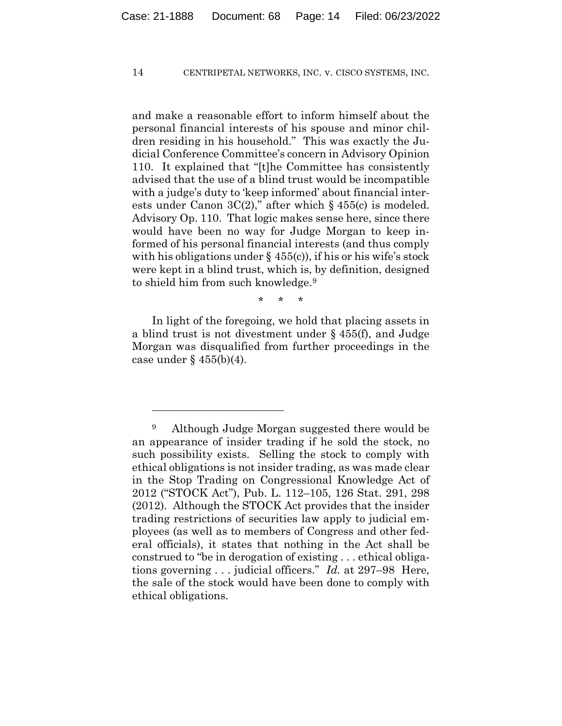and make a reasonable effort to inform himself about the personal financial interests of his spouse and minor children residing in his household." This was exactly the Judicial Conference Committee's concern in Advisory Opinion 110. It explained that "[t]he Committee has consistently advised that the use of a blind trust would be incompatible with a judge's duty to 'keep informed' about financial interests under Canon  $3C(2)$ ," after which § 455(c) is modeled. Advisory Op. 110. That logic makes sense here, since there would have been no way for Judge Morgan to keep informed of his personal financial interests (and thus comply with his obligations under  $\S$  455(c)), if his or his wife's stock were kept in a blind trust, which is, by definition, designed to shield him from such knowledge.9

\* \* \*

In light of the foregoing, we hold that placing assets in a blind trust is not divestment under § 455(f), and Judge Morgan was disqualified from further proceedings in the case under  $\S$  455(b)(4).

<sup>9</sup> Although Judge Morgan suggested there would be an appearance of insider trading if he sold the stock, no such possibility exists. Selling the stock to comply with ethical obligations is not insider trading, as was made clear in the Stop Trading on Congressional Knowledge Act of 2012 ("STOCK Act"), Pub. L. 112–105, 126 Stat. 291, 298 (2012). Although the STOCK Act provides that the insider trading restrictions of securities law apply to judicial employees (as well as to members of Congress and other federal officials), it states that nothing in the Act shall be construed to "be in derogation of existing . . . ethical obligations governing . . . judicial officers." *Id.* at 297–98 Here, the sale of the stock would have been done to comply with ethical obligations.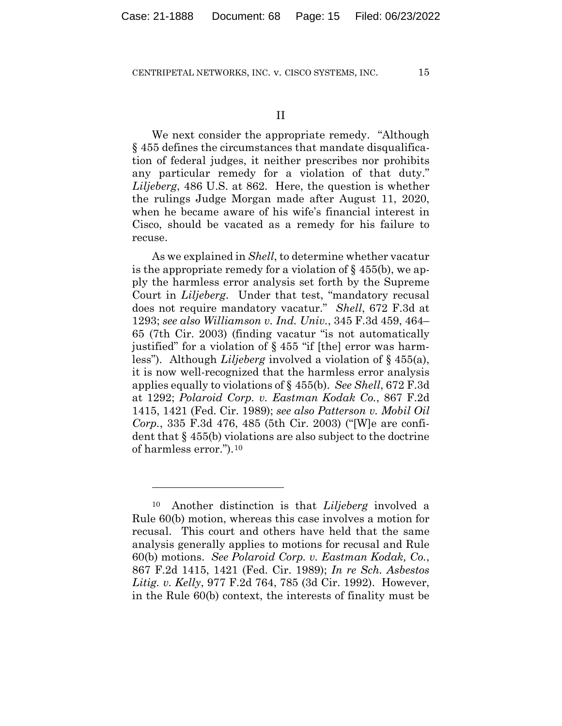We next consider the appropriate remedy. "Although § 455 defines the circumstances that mandate disqualification of federal judges, it neither prescribes nor prohibits any particular remedy for a violation of that duty." *Liljeberg*, 486 U.S. at 862. Here, the question is whether the rulings Judge Morgan made after August 11, 2020, when he became aware of his wife's financial interest in Cisco, should be vacated as a remedy for his failure to recuse.

As we explained in *Shell*, to determine whether vacatur is the appropriate remedy for a violation of  $\S$  455(b), we apply the harmless error analysis set forth by the Supreme Court in *Liljeberg*.Under that test, "mandatory recusal does not require mandatory vacatur." *Shell*, 672 F.3d at 1293; *see also Williamson v. Ind. Univ.*, 345 F.3d 459, 464– 65 (7th Cir. 2003) (finding vacatur "is not automatically justified" for a violation of § 455 "if [the] error was harmless"). Although *Liljeberg* involved a violation of § 455(a), it is now well-recognized that the harmless error analysis applies equally to violations of § 455(b). *See Shell*, 672 F.3d at 1292; *Polaroid Corp. v. Eastman Kodak Co.*, 867 F.2d 1415, 1421 (Fed. Cir. 1989); *see also Patterson v. Mobil Oil Corp.*, 335 F.3d 476, 485 (5th Cir. 2003) ("[W]e are confident that § 455(b) violations are also subject to the doctrine of harmless error.").10

<sup>10</sup> Another distinction is that *Liljeberg* involved a Rule 60(b) motion, whereas this case involves a motion for recusal. This court and others have held that the same analysis generally applies to motions for recusal and Rule 60(b) motions. *See Polaroid Corp. v. Eastman Kodak, Co.*, 867 F.2d 1415, 1421 (Fed. Cir. 1989); *In re Sch. Asbestos Litig. v. Kelly*, 977 F.2d 764, 785 (3d Cir. 1992). However, in the Rule 60(b) context, the interests of finality must be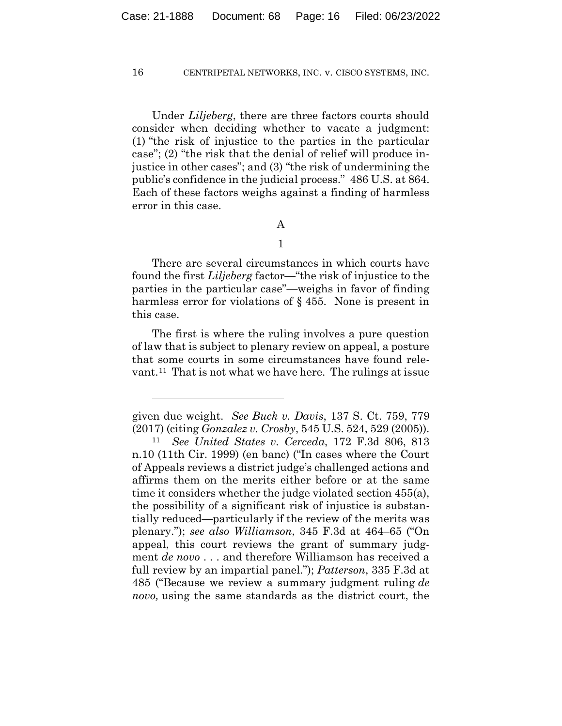Under *Liljeberg*, there are three factors courts should consider when deciding whether to vacate a judgment: (1) "the risk of injustice to the parties in the particular case"; (2) "the risk that the denial of relief will produce injustice in other cases"; and (3) "the risk of undermining the public's confidence in the judicial process." 486 U.S. at 864. Each of these factors weighs against a finding of harmless error in this case.

## A

1

 There are several circumstances in which courts have found the first *Liljeberg* factor—"the risk of injustice to the parties in the particular case"—weighs in favor of finding harmless error for violations of § 455. None is present in this case.

The first is where the ruling involves a pure question of law that is subject to plenary review on appeal, a posture that some courts in some circumstances have found relevant.11 That is not what we have here. The rulings at issue

given due weight. *See Buck v. Davis*, 137 S. Ct. 759, 779 (2017) (citing *Gonzalez v. Crosby*, 545 U.S. 524, 529 (2005)). 11 *See United States v. Cerceda*, 172 F.3d 806, 813

n.10 (11th Cir. 1999) (en banc) ("In cases where the Court of Appeals reviews a district judge's challenged actions and affirms them on the merits either before or at the same time it considers whether the judge violated section 455(a), the possibility of a significant risk of injustice is substantially reduced—particularly if the review of the merits was plenary."); *see also Williamson*, 345 F.3d at 464–65 ("On appeal, this court reviews the grant of summary judgment *de novo* . . . and therefore Williamson has received a full review by an impartial panel."); *Patterson*, 335 F.3d at 485 ("Because we review a summary judgment ruling *de novo,* using the same standards as the district court, the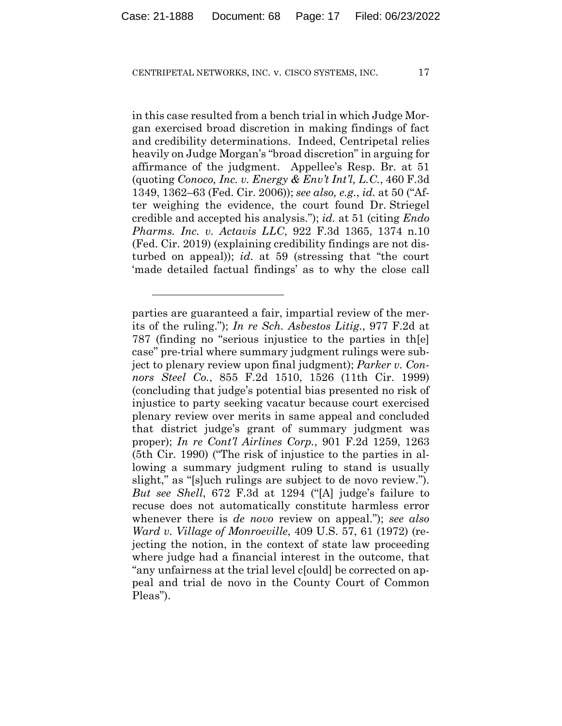in this case resulted from a bench trial in which Judge Morgan exercised broad discretion in making findings of fact and credibility determinations. Indeed, Centripetal relies heavily on Judge Morgan's "broad discretion" in arguing for affirmance of the judgment. Appellee's Resp. Br. at 51 (quoting *Conoco, Inc. v. Energy & Env't Int'l, L.C.*, 460 F.3d 1349, 1362–63 (Fed. Cir. 2006)); *see also, e.g.*, *id.* at 50 ("After weighing the evidence, the court found Dr. Striegel credible and accepted his analysis."); *id.* at 51 (citing *Endo Pharms. Inc. v. Actavis LLC*, 922 F.3d 1365, 1374 n.10 (Fed. Cir. 2019) (explaining credibility findings are not disturbed on appeal)); *id.* at 59 (stressing that "the court 'made detailed factual findings' as to why the close call

parties are guaranteed a fair, impartial review of the merits of the ruling."); *In re Sch. Asbestos Litig.*, 977 F.2d at 787 (finding no "serious injustice to the parties in th[e] case" pre-trial where summary judgment rulings were subject to plenary review upon final judgment); *Parker v. Connors Steel Co.*, 855 F.2d 1510, 1526 (11th Cir. 1999) (concluding that judge's potential bias presented no risk of injustice to party seeking vacatur because court exercised plenary review over merits in same appeal and concluded that district judge's grant of summary judgment was proper); *In re Cont'l Airlines Corp.*, 901 F.2d 1259, 1263 (5th Cir. 1990) ("The risk of injustice to the parties in allowing a summary judgment ruling to stand is usually slight," as "[s]uch rulings are subject to de novo review."). *But see Shell*, 672 F.3d at 1294 ("[A] judge's failure to recuse does not automatically constitute harmless error whenever there is *de novo* review on appeal."); *see also Ward v. Village of Monroeville*, 409 U.S. 57, 61 (1972) (rejecting the notion, in the context of state law proceeding where judge had a financial interest in the outcome, that "any unfairness at the trial level c[ould] be corrected on appeal and trial de novo in the County Court of Common Pleas").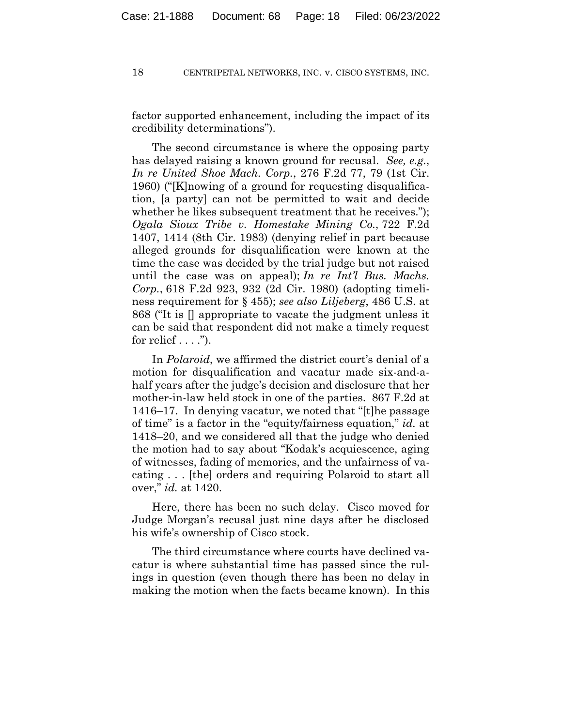factor supported enhancement, including the impact of its credibility determinations").

The second circumstance is where the opposing party has delayed raising a known ground for recusal. *See, e.g.*, *In re United Shoe Mach. Corp.*, 276 F.2d 77, 79 (1st Cir. 1960) ("[K]nowing of a ground for requesting disqualification, [a party] can not be permitted to wait and decide whether he likes subsequent treatment that he receives."); *Ogala Sioux Tribe v. Homestake Mining Co.*, 722 F.2d 1407, 1414 (8th Cir. 1983) (denying relief in part because alleged grounds for disqualification were known at the time the case was decided by the trial judge but not raised until the case was on appeal); *In re Int'l Bus. Machs. Corp.*, 618 F.2d 923, 932 (2d Cir. 1980) (adopting timeliness requirement for § 455); *see also Liljeberg*, 486 U.S. at 868 ("It is [] appropriate to vacate the judgment unless it can be said that respondent did not make a timely request for relief  $\dots$ .").

In *Polaroid*, we affirmed the district court's denial of a motion for disqualification and vacatur made six-and-ahalf years after the judge's decision and disclosure that her mother-in-law held stock in one of the parties. 867 F.2d at 1416–17. In denying vacatur, we noted that "[t]he passage of time" is a factor in the "equity/fairness equation," *id.* at 1418–20, and we considered all that the judge who denied the motion had to say about "Kodak's acquiescence, aging of witnesses, fading of memories, and the unfairness of vacating . . . [the] orders and requiring Polaroid to start all over," *id.* at 1420.

Here, there has been no such delay. Cisco moved for Judge Morgan's recusal just nine days after he disclosed his wife's ownership of Cisco stock.

The third circumstance where courts have declined vacatur is where substantial time has passed since the rulings in question (even though there has been no delay in making the motion when the facts became known). In this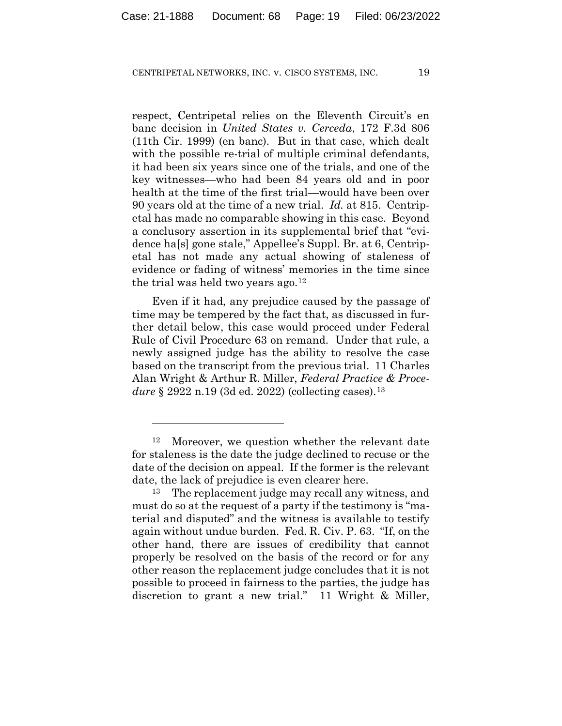respect, Centripetal relies on the Eleventh Circuit's en banc decision in *United States v. Cerceda*, 172 F.3d 806 (11th Cir. 1999) (en banc). But in that case, which dealt with the possible re-trial of multiple criminal defendants, it had been six years since one of the trials, and one of the key witnesses—who had been 84 years old and in poor health at the time of the first trial—would have been over 90 years old at the time of a new trial. *Id.* at 815. Centripetal has made no comparable showing in this case. Beyond a conclusory assertion in its supplemental brief that "evidence ha[s] gone stale," Appellee's Suppl. Br. at 6, Centripetal has not made any actual showing of staleness of evidence or fading of witness' memories in the time since the trial was held two years ago.12

Even if it had, any prejudice caused by the passage of time may be tempered by the fact that, as discussed in further detail below, this case would proceed under Federal Rule of Civil Procedure 63 on remand. Under that rule, a newly assigned judge has the ability to resolve the case based on the transcript from the previous trial. 11 Charles Alan Wright & Arthur R. Miller, *Federal Practice & Procedure* § 2922 n.19 (3d ed. 2022) (collecting cases).<sup>13</sup>

<sup>12</sup> Moreover, we question whether the relevant date for staleness is the date the judge declined to recuse or the date of the decision on appeal. If the former is the relevant date, the lack of prejudice is even clearer here.

<sup>13</sup> The replacement judge may recall any witness, and must do so at the request of a party if the testimony is "material and disputed" and the witness is available to testify again without undue burden. Fed. R. Civ. P. 63. "If, on the other hand, there are issues of credibility that cannot properly be resolved on the basis of the record or for any other reason the replacement judge concludes that it is not possible to proceed in fairness to the parties, the judge has discretion to grant a new trial." 11 Wright & Miller,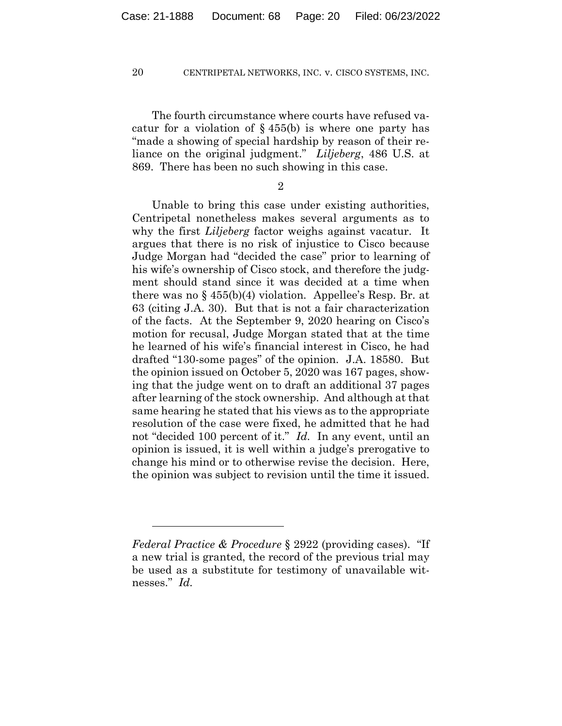The fourth circumstance where courts have refused vacatur for a violation of  $\S$  455(b) is where one party has "made a showing of special hardship by reason of their reliance on the original judgment." *Liljeberg*, 486 U.S. at 869. There has been no such showing in this case.

2

Unable to bring this case under existing authorities, Centripetal nonetheless makes several arguments as to why the first *Liljeberg* factor weighs against vacatur. It argues that there is no risk of injustice to Cisco because Judge Morgan had "decided the case" prior to learning of his wife's ownership of Cisco stock, and therefore the judgment should stand since it was decided at a time when there was no  $\S 455(b)(4)$  violation. Appellee's Resp. Br. at 63 (citing J.A. 30). But that is not a fair characterization of the facts. At the September 9, 2020 hearing on Cisco's motion for recusal, Judge Morgan stated that at the time he learned of his wife's financial interest in Cisco, he had drafted "130-some pages" of the opinion. J.A. 18580. But the opinion issued on October 5, 2020 was 167 pages, showing that the judge went on to draft an additional 37 pages after learning of the stock ownership. And although at that same hearing he stated that his views as to the appropriate resolution of the case were fixed, he admitted that he had not "decided 100 percent of it." *Id.* In any event, until an opinion is issued, it is well within a judge's prerogative to change his mind or to otherwise revise the decision. Here, the opinion was subject to revision until the time it issued.

*Federal Practice & Procedure* § 2922 (providing cases). "If a new trial is granted, the record of the previous trial may be used as a substitute for testimony of unavailable witnesses." *Id.*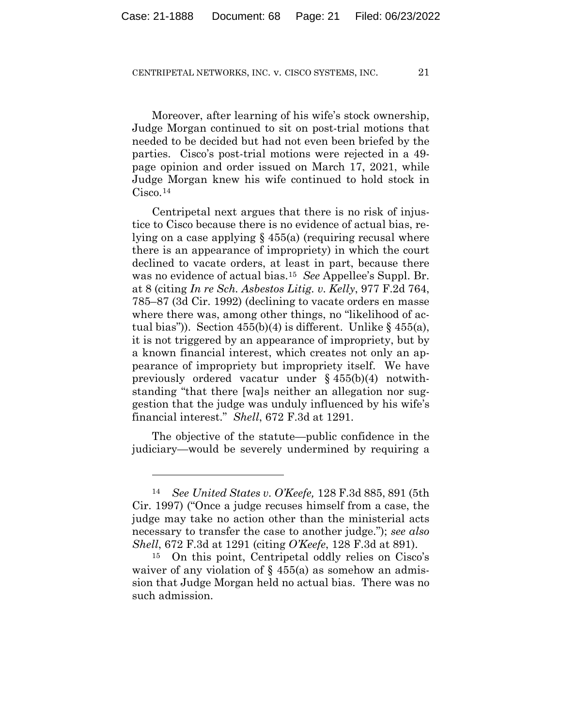Moreover, after learning of his wife's stock ownership, Judge Morgan continued to sit on post-trial motions that needed to be decided but had not even been briefed by the parties. Cisco's post-trial motions were rejected in a 49 page opinion and order issued on March 17, 2021, while Judge Morgan knew his wife continued to hold stock in Cisco.14

Centripetal next argues that there is no risk of injustice to Cisco because there is no evidence of actual bias, relying on a case applying § 455(a) (requiring recusal where there is an appearance of impropriety) in which the court declined to vacate orders, at least in part, because there was no evidence of actual bias.15 *See* Appellee's Suppl. Br. at 8 (citing *In re Sch. Asbestos Litig. v. Kelly*, 977 F.2d 764, 785–87 (3d Cir. 1992) (declining to vacate orders en masse where there was, among other things, no "likelihood of actual bias")). Section  $455(b)(4)$  is different. Unlike §  $455(a)$ , it is not triggered by an appearance of impropriety, but by a known financial interest, which creates not only an appearance of impropriety but impropriety itself. We have previously ordered vacatur under § 455(b)(4) notwithstanding "that there [wa]s neither an allegation nor suggestion that the judge was unduly influenced by his wife's financial interest." *Shell*, 672 F.3d at 1291.

The objective of the statute—public confidence in the judiciary—would be severely undermined by requiring a

<sup>14</sup> *See United States v. O'Keefe,* 128 F.3d 885, 891 (5th Cir. 1997) ("Once a judge recuses himself from a case, the judge may take no action other than the ministerial acts necessary to transfer the case to another judge."); *see also Shell*, 672 F.3d at 1291 (citing *O'Keefe*, 128 F.3d at 891). 15 On this point, Centripetal oddly relies on Cisco's

waiver of any violation of  $\S$  455(a) as somehow an admission that Judge Morgan held no actual bias. There was no such admission.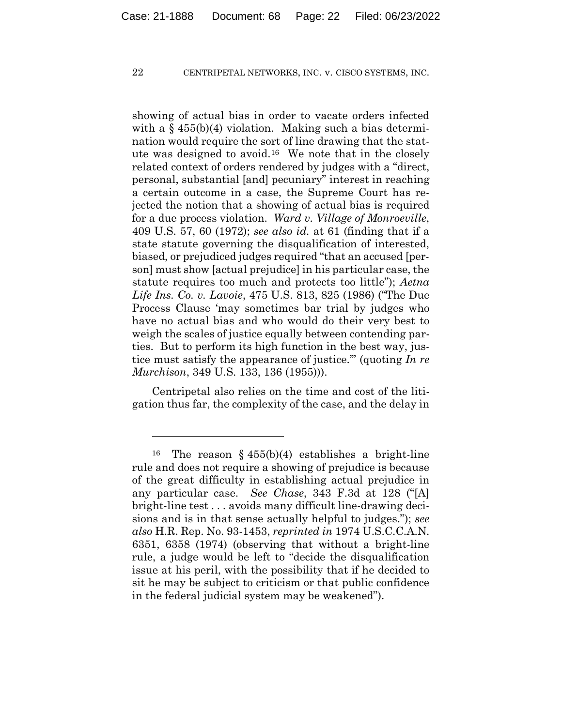showing of actual bias in order to vacate orders infected with a  $\S$  455(b)(4) violation. Making such a bias determination would require the sort of line drawing that the statute was designed to avoid.16 We note that in the closely related context of orders rendered by judges with a "direct, personal, substantial [and] pecuniary" interest in reaching a certain outcome in a case, the Supreme Court has rejected the notion that a showing of actual bias is required for a due process violation. *Ward v. Village of Monroeville*, 409 U.S. 57, 60 (1972); *see also id.* at 61 (finding that if a state statute governing the disqualification of interested, biased, or prejudiced judges required "that an accused [person] must show [actual prejudice] in his particular case, the statute requires too much and protects too little"); *Aetna Life Ins. Co. v. Lavoie*, 475 U.S. 813, 825 (1986) ("The Due Process Clause 'may sometimes bar trial by judges who have no actual bias and who would do their very best to weigh the scales of justice equally between contending parties. But to perform its high function in the best way, justice must satisfy the appearance of justice.'" (quoting *In re Murchison*, 349 U.S. 133, 136 (1955))).

Centripetal also relies on the time and cost of the litigation thus far, the complexity of the case, and the delay in

<sup>&</sup>lt;sup>16</sup> The reason § 455(b)(4) establishes a bright-line rule and does not require a showing of prejudice is because of the great difficulty in establishing actual prejudice in any particular case. *See Chase*, 343 F.3d at 128 ("[A] bright-line test . . . avoids many difficult line-drawing decisions and is in that sense actually helpful to judges."); *see also* H.R. Rep. No. 93-1453, *reprinted in* 1974 U.S.C.C.A.N. 6351, 6358 (1974) (observing that without a bright-line rule, a judge would be left to "decide the disqualification issue at his peril, with the possibility that if he decided to sit he may be subject to criticism or that public confidence in the federal judicial system may be weakened").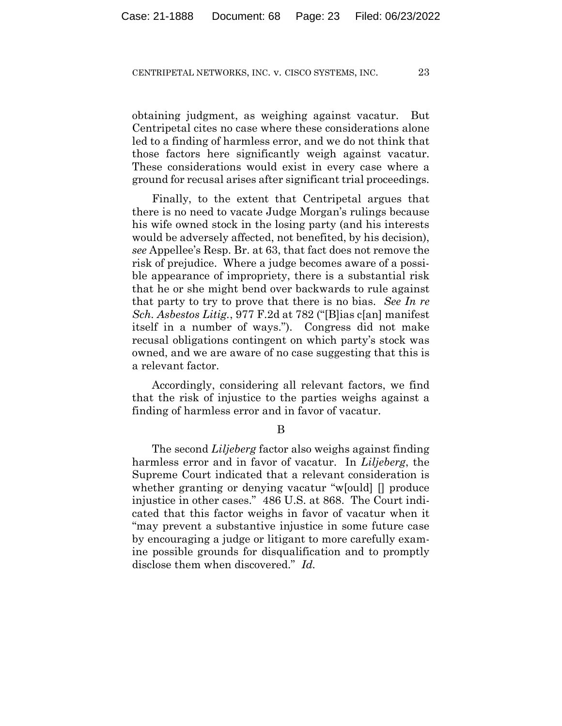obtaining judgment, as weighing against vacatur. But Centripetal cites no case where these considerations alone led to a finding of harmless error, and we do not think that those factors here significantly weigh against vacatur. These considerations would exist in every case where a ground for recusal arises after significant trial proceedings.

Finally, to the extent that Centripetal argues that there is no need to vacate Judge Morgan's rulings because his wife owned stock in the losing party (and his interests would be adversely affected, not benefited, by his decision), *see* Appellee's Resp. Br. at 63, that fact does not remove the risk of prejudice. Where a judge becomes aware of a possible appearance of impropriety, there is a substantial risk that he or she might bend over backwards to rule against that party to try to prove that there is no bias. *See In re Sch. Asbestos Litig.*, 977 F.2d at 782 ("[B]ias c[an] manifest itself in a number of ways."). Congress did not make recusal obligations contingent on which party's stock was owned, and we are aware of no case suggesting that this is a relevant factor.

Accordingly, considering all relevant factors, we find that the risk of injustice to the parties weighs against a finding of harmless error and in favor of vacatur.

B

The second *Liljeberg* factor also weighs against finding harmless error and in favor of vacatur. In *Liljeberg*, the Supreme Court indicated that a relevant consideration is whether granting or denying vacatur "w[ould] [] produce injustice in other cases." 486 U.S. at 868. The Court indicated that this factor weighs in favor of vacatur when it "may prevent a substantive injustice in some future case by encouraging a judge or litigant to more carefully examine possible grounds for disqualification and to promptly disclose them when discovered." *Id.*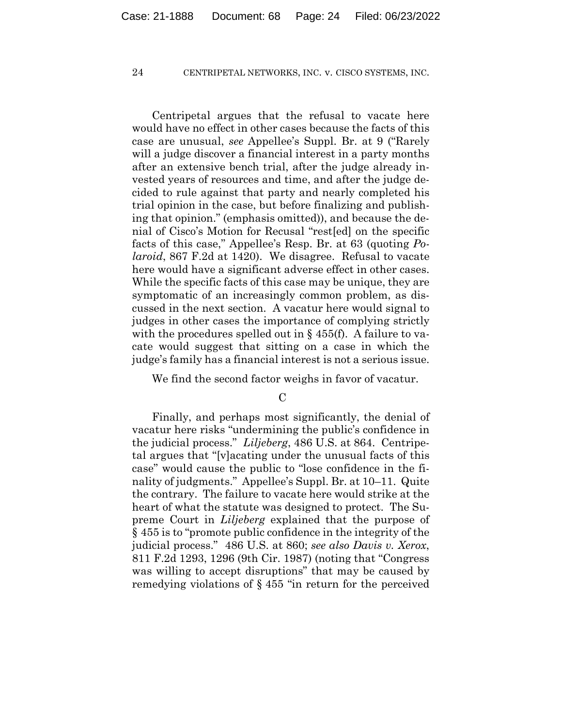Centripetal argues that the refusal to vacate here would have no effect in other cases because the facts of this case are unusual, *see* Appellee's Suppl. Br. at 9 ("Rarely will a judge discover a financial interest in a party months after an extensive bench trial, after the judge already invested years of resources and time, and after the judge decided to rule against that party and nearly completed his trial opinion in the case, but before finalizing and publishing that opinion." (emphasis omitted)), and because the denial of Cisco's Motion for Recusal "rest[ed] on the specific facts of this case," Appellee's Resp. Br. at 63 (quoting *Polaroid*, 867 F.2d at 1420). We disagree. Refusal to vacate here would have a significant adverse effect in other cases. While the specific facts of this case may be unique, they are symptomatic of an increasingly common problem, as discussed in the next section. A vacatur here would signal to judges in other cases the importance of complying strictly with the procedures spelled out in  $\S$  455(f). A failure to vacate would suggest that sitting on a case in which the judge's family has a financial interest is not a serious issue.

We find the second factor weighs in favor of vacatur.

 $\mathcal{C}$ 

Finally, and perhaps most significantly, the denial of vacatur here risks "undermining the public's confidence in the judicial process." *Liljeberg*, 486 U.S. at 864. Centripetal argues that "[v]acating under the unusual facts of this case" would cause the public to "lose confidence in the finality of judgments." Appellee's Suppl. Br. at 10–11. Quite the contrary. The failure to vacate here would strike at the heart of what the statute was designed to protect. The Supreme Court in *Liljeberg* explained that the purpose of § 455 is to "promote public confidence in the integrity of the judicial process." 486 U.S. at 860; *see also Davis v. Xerox*, 811 F.2d 1293, 1296 (9th Cir. 1987) (noting that "Congress was willing to accept disruptions" that may be caused by remedying violations of § 455 "in return for the perceived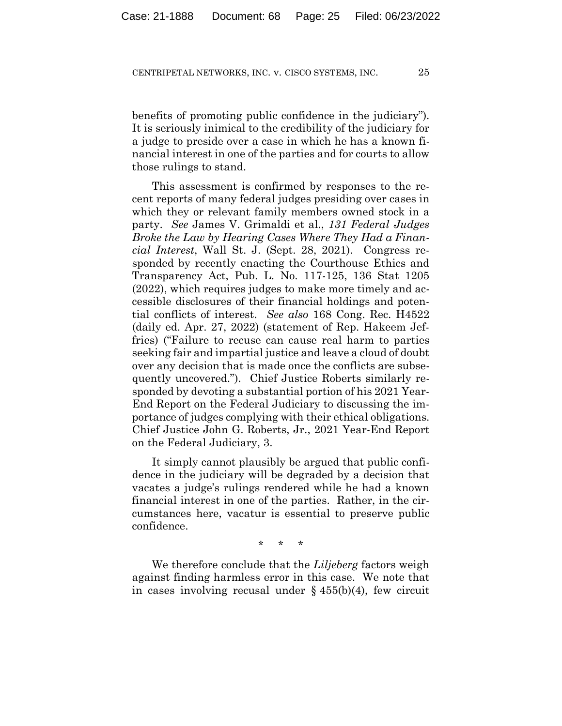benefits of promoting public confidence in the judiciary"). It is seriously inimical to the credibility of the judiciary for a judge to preside over a case in which he has a known financial interest in one of the parties and for courts to allow those rulings to stand.

This assessment is confirmed by responses to the recent reports of many federal judges presiding over cases in which they or relevant family members owned stock in a party. *See* James V. Grimaldi et al., *131 Federal Judges Broke the Law by Hearing Cases Where They Had a Financial Interest*, Wall St. J. (Sept. 28, 2021). Congress responded by recently enacting the Courthouse Ethics and Transparency Act, Pub. L. No. 117-125, 136 Stat 1205 (2022), which requires judges to make more timely and accessible disclosures of their financial holdings and potential conflicts of interest. *See also* 168 Cong. Rec. H4522 (daily ed. Apr. 27, 2022) (statement of Rep. Hakeem Jeffries) ("Failure to recuse can cause real harm to parties seeking fair and impartial justice and leave a cloud of doubt over any decision that is made once the conflicts are subsequently uncovered."). Chief Justice Roberts similarly responded by devoting a substantial portion of his 2021 Year-End Report on the Federal Judiciary to discussing the importance of judges complying with their ethical obligations. Chief Justice John G. Roberts, Jr., 2021 Year-End Report on the Federal Judiciary, 3.

It simply cannot plausibly be argued that public confidence in the judiciary will be degraded by a decision that vacates a judge's rulings rendered while he had a known financial interest in one of the parties. Rather, in the circumstances here, vacatur is essential to preserve public confidence.

\* \* \*

We therefore conclude that the *Liljeberg* factors weigh against finding harmless error in this case. We note that in cases involving recusal under  $\S$  455(b)(4), few circuit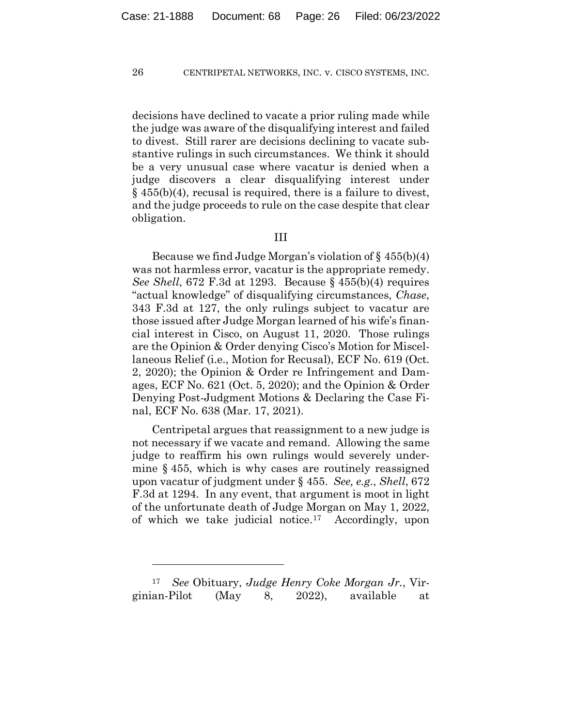decisions have declined to vacate a prior ruling made while the judge was aware of the disqualifying interest and failed to divest. Still rarer are decisions declining to vacate substantive rulings in such circumstances. We think it should be a very unusual case where vacatur is denied when a judge discovers a clear disqualifying interest under § 455(b)(4), recusal is required, there is a failure to divest, and the judge proceeds to rule on the case despite that clear obligation.

## III

Because we find Judge Morgan's violation of  $\S$  455(b)(4) was not harmless error, vacatur is the appropriate remedy. *See Shell*, 672 F.3d at 1293. Because § 455(b)(4) requires "actual knowledge" of disqualifying circumstances, *Chase*, 343 F.3d at 127, the only rulings subject to vacatur are those issued after Judge Morgan learned of his wife's financial interest in Cisco, on August 11, 2020. Those rulings are the Opinion & Order denying Cisco's Motion for Miscellaneous Relief (i.e., Motion for Recusal), ECF No. 619 (Oct. 2, 2020); the Opinion & Order re Infringement and Damages, ECF No. 621 (Oct. 5, 2020); and the Opinion & Order Denying Post-Judgment Motions & Declaring the Case Final, ECF No. 638 (Mar. 17, 2021).

Centripetal argues that reassignment to a new judge is not necessary if we vacate and remand. Allowing the same judge to reaffirm his own rulings would severely undermine § 455, which is why cases are routinely reassigned upon vacatur of judgment under § 455. *See, e.g.*, *Shell*, 672 F.3d at 1294. In any event, that argument is moot in light of the unfortunate death of Judge Morgan on May 1, 2022, of which we take judicial notice.17 Accordingly, upon

<sup>17</sup> *See* Obituary, *Judge Henry Coke Morgan Jr.*, Virginian-Pilot (May 8, 2022), available at